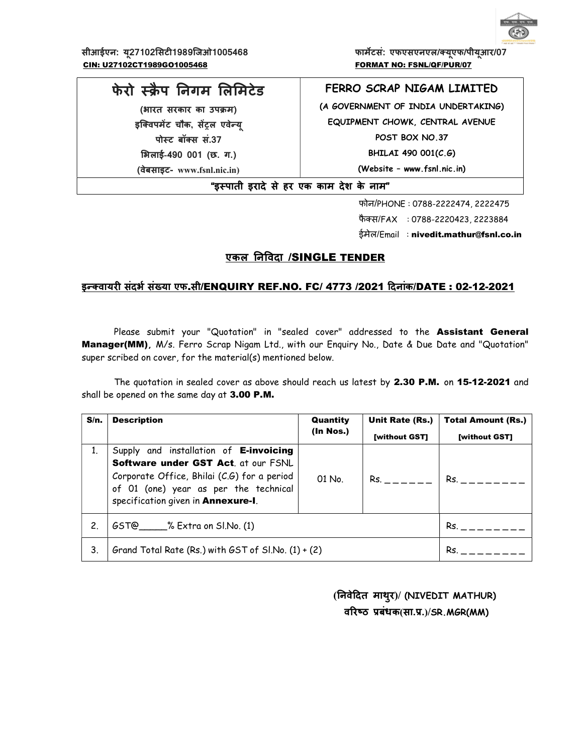

सीआईएन: यू27102सिटी1989जिओ1005468 फिल्म कार्मेटसं: एफएसएनएल/क्यूएफ/पीयूआर/07 CIN: U27102CT1989GO1005468 FORMAT NO: FSNL/QF/PUR/07

# फेरो स्क्रैप निगम लिमिटेड

(भारत सरकार का उपक्रम) इक्विपमेंट चौक, सेंट्रल एवेन्य् पोस्ट बॉक्स सं.37 ͧभलाई-490 001 (छ. ग.)

(वेबसाइट- www.fsnl.nic.in)

# FERRO SCRAP NIGAM LIMITED

(A GOVERNMENT OF INDIA UNDERTAKING) EQUIPMENT CHOWK, CENTRAL AVENUE POST BOX NO.37 BHILAI 490 001(C.G) (Website – www.fsnl.nic.in)

"इèपाती इरादे से हर एक काम देश के नाम"

फोन/PHONE : 0788-2222474, 2222475 फैक्स/FAX : 0788-2220423, 2223884 ईमेल/Email : nivedit.mathur@fsnl.co.in

# एकल निविदा /SINGLE TENDER

# इन्क्वायरी संदर्भ संख्या एफ.सी/ENQUIRY REF.NO. FC/ 4773 /2021 दिनांक/DATE : 02-12-2021

Please submit your "Quotation" in "sealed cover" addressed to the Assistant General Manager(MM), M/s. Ferro Scrap Nigam Ltd., with our Enquiry No., Date & Due Date and "Quotation" super scribed on cover, for the material(s) mentioned below.

The quotation in sealed cover as above should reach us latest by 2.30 P.M. on 15-12-2021 and shall be opened on the same day at 3.00 P.M.

| S/n. | <b>Description</b>                                                                                                                                                                                                                      | Quantity  | Unit Rate (Rs.) | <b>Total Amount (Rs.)</b> |  |
|------|-----------------------------------------------------------------------------------------------------------------------------------------------------------------------------------------------------------------------------------------|-----------|-----------------|---------------------------|--|
|      |                                                                                                                                                                                                                                         | (In Nos.) |                 | [without GST]             |  |
| 1.   | Supply and installation of E-invoicing<br>Software under GST Act. at our FSNL<br>Corporate Office, Bhilai (C.G) for a period<br>$Rs.$ $   -$<br>$01$ No.<br>of 01 (one) year as per the technical<br>specification given in Annexure-I. |           |                 | Rs.                       |  |
| 2.   | $GST@$ % Extra on SI.No. (1)                                                                                                                                                                                                            |           |                 | Rs.                       |  |
| 3.   | Grand Total Rate (Rs.) with $GST$ of $SINo. (1) + (2)$                                                                                                                                                                                  |           |                 | Rs.                       |  |

 (ǓनवेǑदत माथुर)/ (NIVEDIT MATHUR) वरिष्ठ प्रबंधक(सा.प्र.)/SR.MGR(MM)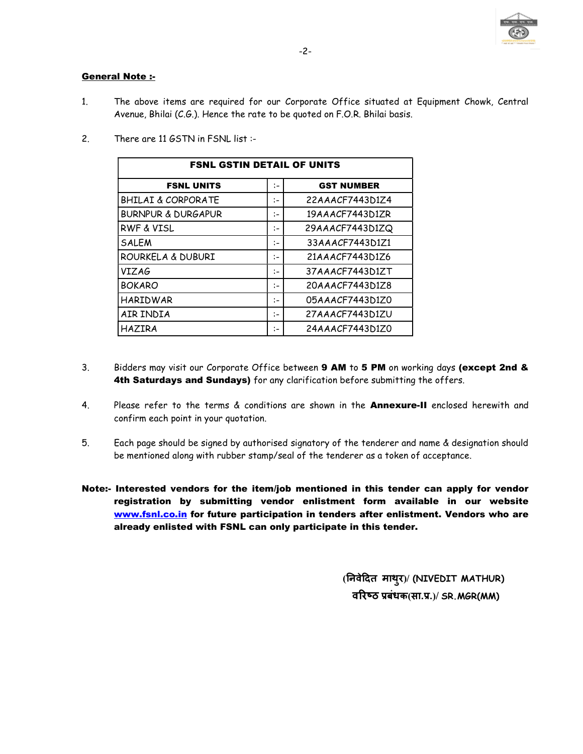

# General Note :-

- 1. The above items are required for our Corporate Office situated at Equipment Chowk, Central Avenue, Bhilai (C.G.). Hence the rate to be quoted on F.O.R. Bhilai basis.
- 2. There are 11 GSTN in FSNL list :-

| <b>FSNL GSTIN DETAIL OF UNITS</b> |      |                   |  |  |
|-----------------------------------|------|-------------------|--|--|
| <b>FSNL UNITS</b>                 | $:-$ | <b>GST NUMBER</b> |  |  |
| <b>BHILAI &amp; CORPORATE</b>     | $:-$ | 22AAACF7443D1Z4   |  |  |
| <b>BURNPUR &amp; DURGAPUR</b>     | :-   | 19AAACF7443D1ZR   |  |  |
| <b>RWF &amp; VISL</b>             | :-   | 29AAACF7443D1ZQ   |  |  |
| <b>SALEM</b>                      | $:-$ | 33AAACF7443D1Z1   |  |  |
| ROURKELA & DUBURI                 | ÷:   | 21AAACF7443D1Z6   |  |  |
| VIZAG                             | :-   | 37AAACF7443D1ZT   |  |  |
| <b>BOKARO</b>                     | :-   | 20AAACF7443D1Z8   |  |  |
| <b>HARIDWAR</b>                   | :−   | 05AAACF7443D1Z0   |  |  |
| AIR INDIA                         | :-   | 27AAACF7443D1ZU   |  |  |
| <b>HAZIRA</b>                     | :-   | 24AAACF7443D1Z0   |  |  |

- 3. Bidders may visit our Corporate Office between 9 AM to 5 PM on working days (except 2nd & 4th Saturdays and Sundays) for any clarification before submitting the offers.
- 4. Please refer to the terms & conditions are shown in the **Annexure-II** enclosed herewith and confirm each point in your quotation.
- 5. Each page should be signed by authorised signatory of the tenderer and name & designation should be mentioned along with rubber stamp/seal of the tenderer as a token of acceptance.
- Note:- Interested vendors for the item/job mentioned in this tender can apply for vendor registration by submitting vendor enlistment form available in our website www.fsnl.co.in for future participation in tenders after enlistment. Vendors who are already enlisted with FSNL can only participate in this tender.

 (ǓनवेǑदत माथुर)/ (NIVEDIT MATHUR) वरिष्ठ प्रबंधक $(H, T, \mathcal{Y})$  SR. MGR $(MM)$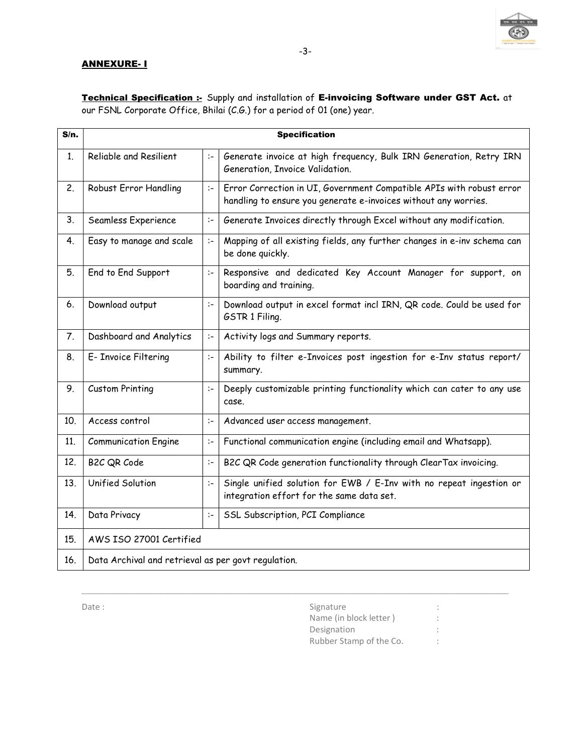

### ANNEXURE- I

Technical Specification :- Supply and installation of E-invoicing Software under GST Act. at our FSNL Corporate Office, Bhilai (C.G.) for a period of 01 (one) year.

| S/n.           |                                                     |      | <b>Specification</b>                                                                                                                    |
|----------------|-----------------------------------------------------|------|-----------------------------------------------------------------------------------------------------------------------------------------|
| 1.             | Reliable and Resilient                              | $:-$ | Generate invoice at high frequency, Bulk IRN Generation, Retry IRN<br>Generation, Invoice Validation.                                   |
| 2.             | Robust Error Handling                               | $:-$ | Error Correction in UI, Government Compatible APIs with robust error<br>handling to ensure you generate e-invoices without any worries. |
| 3.             | Seamless Experience                                 | $:-$ | Generate Invoices directly through Excel without any modification.                                                                      |
| 4.             | Easy to manage and scale                            | $:-$ | Mapping of all existing fields, any further changes in e-inv schema can<br>be done quickly.                                             |
| 5.             | End to End Support                                  | $:-$ | Responsive and dedicated Key Account Manager for support, on<br>boarding and training.                                                  |
| 6.             | Download output                                     | $:-$ | Download output in excel format incl IRN, QR code. Could be used for<br>GSTR 1 Filing.                                                  |
| 7 <sub>1</sub> | Dashboard and Analytics                             | $:-$ | Activity logs and Summary reports.                                                                                                      |
| 8.             | E- Invoice Filtering                                | $:-$ | Ability to filter e-Invoices post ingestion for e-Inv status report/<br>summary.                                                        |
| 9.             | <b>Custom Printing</b>                              | $:-$ | Deeply customizable printing functionality which can cater to any use<br>case.                                                          |
| 10.            | Access control                                      | $:-$ | Advanced user access management.                                                                                                        |
| 11.            | <b>Communication Engine</b>                         | $:-$ | Functional communication engine (including email and Whatsapp).                                                                         |
| 12.            | B2C QR Code                                         | $:-$ | B2C QR Code generation functionality through ClearTax invoicing.                                                                        |
| 13.            | Unified Solution                                    | $:-$ | Single unified solution for EWB / E-Inv with no repeat ingestion or<br>integration effort for the same data set.                        |
| 14.            | Data Privacy                                        | $:-$ | SSL Subscription, PCI Compliance                                                                                                        |
| 15.            | AWS ISO 27001 Certified                             |      |                                                                                                                                         |
| 16.            | Data Archival and retrieval as per govt regulation. |      |                                                                                                                                         |

\_\_\_\_\_\_\_\_\_\_\_\_\_\_\_\_\_\_\_\_\_\_\_\_\_\_\_\_\_\_\_\_\_\_\_\_\_\_\_\_\_\_\_\_\_\_\_\_\_\_\_\_\_\_\_\_\_\_\_\_\_\_\_\_\_\_\_\_\_\_\_\_\_\_\_\_

Date : Signature : Signature : Signature : Signature : Signature : Signature : Signature : Signature : Signature : Signature : Signature : Signature : Signature : Signature : Signature : Signature : Signature : Signature : Name (in block letter ) : Designation : the state of the state of the state of the state of the state of the state of the state of the state of the state of the state of the state of the state of the state of the state of the state of the state of Rubber Stamp of the Co. :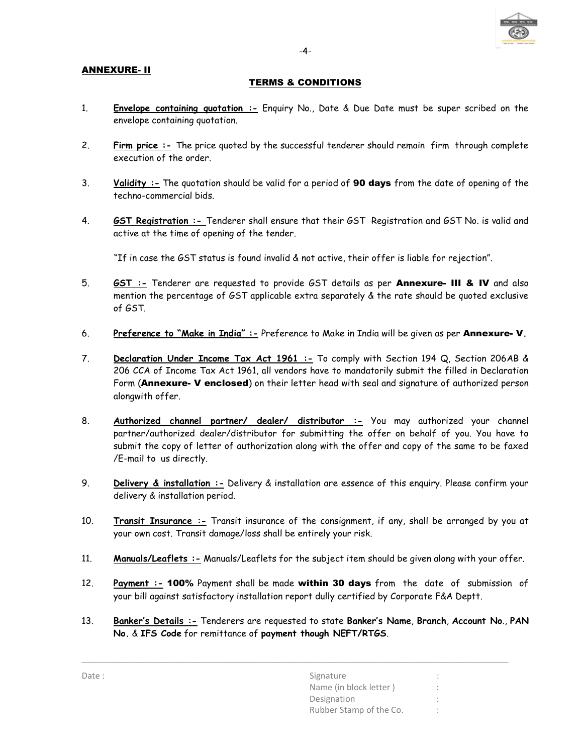

# ANNEXURE- II

# TERMS & CONDITIONS

- 1. Envelope containing quotation :- Enquiry No., Date & Due Date must be super scribed on the envelope containing quotation.
- 2. Firm price :- The price quoted by the successful tenderer should remain firm through complete execution of the order.
- 3. Validity :- The quotation should be valid for a period of 90 days from the date of opening of the techno-commercial bids.
- 4. **GST Registration** :- Tenderer shall ensure that their GST Registration and GST No. is valid and active at the time of opening of the tender.

"If in case the GST status is found invalid & not active, their offer is liable for rejection".

- 5. **GST :** Tenderer are requested to provide GST details as per Annexure- III & IV and also mention the percentage of GST applicable extra separately & the rate should be quoted exclusive of GST.
- 6. Preference to "Make in India" :- Preference to Make in India will be given as per Annexure- V.
- 7. **Declaration Under Income Tax Act 1961 :-** To comply with Section 194 Q, Section 206AB & 206 CCA of Income Tax Act 1961, all vendors have to mandatorily submit the filled in Declaration Form (Annexure- V enclosed) on their letter head with seal and signature of authorized person alongwith offer.
- 8. Authorized channel partner/ dealer/ distributor :- You may authorized your channel partner/authorized dealer/distributor for submitting the offer on behalf of you. You have to submit the copy of letter of authorization along with the offer and copy of the same to be faxed /E-mail to us directly.
- 9. Delivery & installation :- Delivery & installation are essence of this enquiry. Please confirm your delivery & installation period.
- 10. Transit Insurance :- Transit insurance of the consignment, if any, shall be arranged by you at your own cost. Transit damage/loss shall be entirely your risk.
- 11. Manuals/Leaflets :- Manuals/Leaflets for the subject item should be given along with your offer.
- 12. Payment :- 100% Payment shall be made within 30 days from the date of submission of your bill against satisfactory installation report dully certified by Corporate F&A Deptt.
- 13. Banker's Details :- Tenderers are requested to state Banker's Name, Branch, Account No., PAN No. & IFS Code for remittance of payment though NEFT/RTGS.

| Signature               |  |
|-------------------------|--|
| Name (in block letter)  |  |
| Designation             |  |
| Rubber Stamp of the Co. |  |
|                         |  |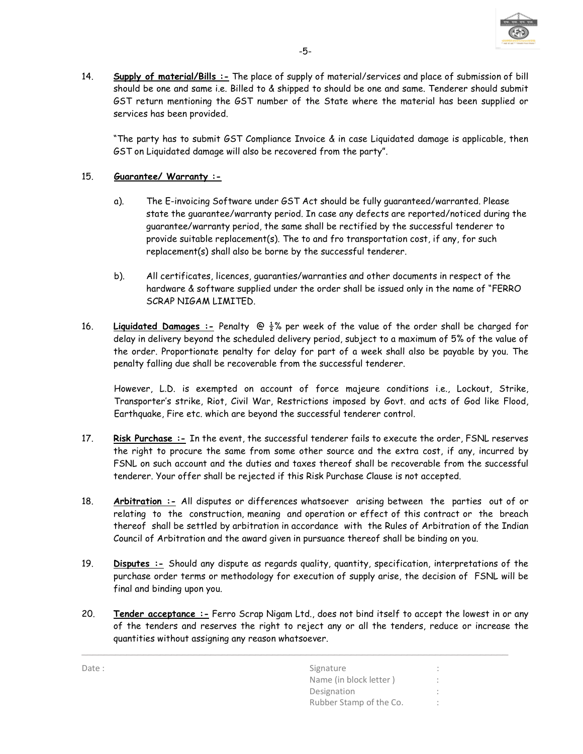

14. Supply of material/Bills :- The place of supply of material/services and place of submission of bill should be one and same i.e. Billed to & shipped to should be one and same. Tenderer should submit GST return mentioning the GST number of the State where the material has been supplied or services has been provided.

"The party has to submit GST Compliance Invoice & in case Liquidated damage is applicable, then GST on Liquidated damage will also be recovered from the party".

# 15. Guarantee/ Warranty :-

- a). The E-invoicing Software under GST Act should be fully guaranteed/warranted. Please state the guarantee/warranty period. In case any defects are reported/noticed during the guarantee/warranty period, the same shall be rectified by the successful tenderer to provide suitable replacement(s). The to and fro transportation cost, if any, for such replacement(s) shall also be borne by the successful tenderer.
- b). All certificates, licences, guaranties/warranties and other documents in respect of the hardware & software supplied under the order shall be issued only in the name of "FERRO SCRAP NIGAM LIMITED.
- 16. Liquidated Damages :- Penalty  $\bigcirc \frac{1}{2}$ % per week of the value of the order shall be charged for delay in delivery beyond the scheduled delivery period, subject to a maximum of 5% of the value of the order. Proportionate penalty for delay for part of a week shall also be payable by you. The penalty falling due shall be recoverable from the successful tenderer.

However, L.D. is exempted on account of force majeure conditions i.e., Lockout, Strike, Transporter's strike, Riot, Civil War, Restrictions imposed by Govt. and acts of God like Flood, Earthquake, Fire etc. which are beyond the successful tenderer control.

- 17. Risk Purchase :- In the event, the successful tenderer fails to execute the order, FSNL reserves the right to procure the same from some other source and the extra cost, if any, incurred by FSNL on such account and the duties and taxes thereof shall be recoverable from the successful tenderer. Your offer shall be rejected if this Risk Purchase Clause is not accepted.
- 18. Arbitration :- All disputes or differences whatsoever arising between the parties out of or relating to the construction, meaning and operation or effect of this contract or the breach thereof shall be settled by arbitration in accordance with the Rules of Arbitration of the Indian Council of Arbitration and the award given in pursuance thereof shall be binding on you.
- 19. Disputes :- Should any dispute as regards quality, quantity, specification, interpretations of the purchase order terms or methodology for execution of supply arise, the decision of FSNL will be final and binding upon you.
- 20. Tender acceptance :- Ferro Scrap Nigam Ltd., does not bind itself to accept the lowest in or any of the tenders and reserves the right to reject any or all the tenders, reduce or increase the quantities without assigning any reason whatsoever.

| Date: | Signature               | ٠<br>$\sim$              |
|-------|-------------------------|--------------------------|
|       | Name (in block letter)  | $\sim$                   |
|       | Designation             | $\overline{\phantom{a}}$ |
|       | Rubber Stamp of the Co. | $\ddot{\phantom{1}}$     |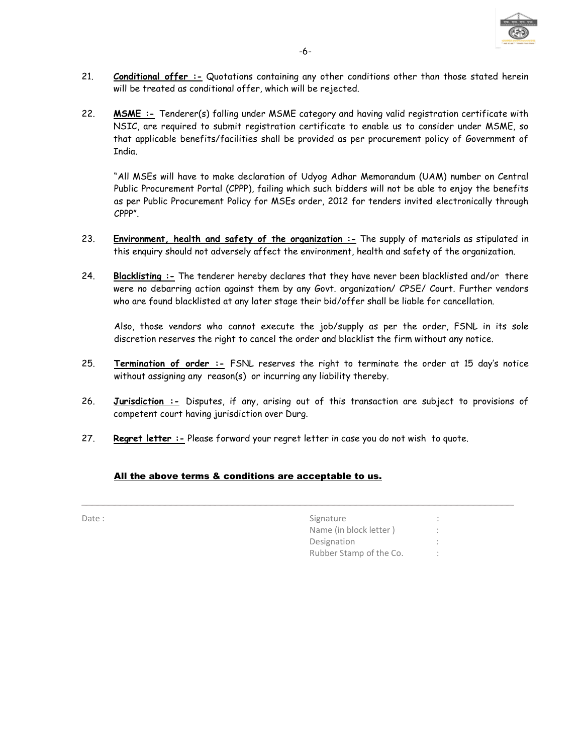

- 21. Conditional offer :- Quotations containing any other conditions other than those stated herein will be treated as conditional offer, which will be rejected.
- 22. MSME :- Tenderer(s) falling under MSME category and having valid registration certificate with NSIC, are required to submit registration certificate to enable us to consider under MSME, so that applicable benefits/facilities shall be provided as per procurement policy of Government of India.

 "All MSEs will have to make declaration of Udyog Adhar Memorandum (UAM) number on Central Public Procurement Portal (CPPP), failing which such bidders will not be able to enjoy the benefits as per Public Procurement Policy for MSEs order, 2012 for tenders invited electronically through CPPP".

- 23. Environment, health and safety of the organization  $-$  The supply of materials as stipulated in this enquiry should not adversely affect the environment, health and safety of the organization.
- 24. Blacklisting :- The tenderer hereby declares that they have never been blacklisted and/or there were no debarring action against them by any Govt. organization/ CPSE/ Court. Further vendors who are found blacklisted at any later stage their bid/offer shall be liable for cancellation.

Also, those vendors who cannot execute the job/supply as per the order, FSNL in its sole discretion reserves the right to cancel the order and blacklist the firm without any notice.

- 25. Termination of order :- FSNL reserves the right to terminate the order at 15 day's notice without assigning any reason(s) or incurring any liability thereby.
- 26. Jurisdiction :- Disputes, if any, arising out of this transaction are subject to provisions of competent court having jurisdiction over Durg.

\_\_\_\_\_\_\_\_\_\_\_\_\_\_\_\_\_\_\_\_\_\_\_\_\_\_\_\_\_\_\_\_\_\_\_\_\_\_\_\_\_\_\_\_\_\_\_\_\_\_\_\_\_\_\_\_\_\_\_\_\_\_\_\_\_\_\_\_\_\_\_\_\_\_\_\_\_

27. Regret letter :- Please forward your regret letter in case you do not wish to quote.

# All the above terms & conditions are acceptable to us.

| ٧ |  |  |  |
|---|--|--|--|

| Signature               | $\mathbf{r}$        |
|-------------------------|---------------------|
| Name (in block letter)  | $\bullet$<br>$\sim$ |
| Designation             | $\mathbf{r}$        |
| Rubber Stamp of the Co. |                     |
|                         |                     |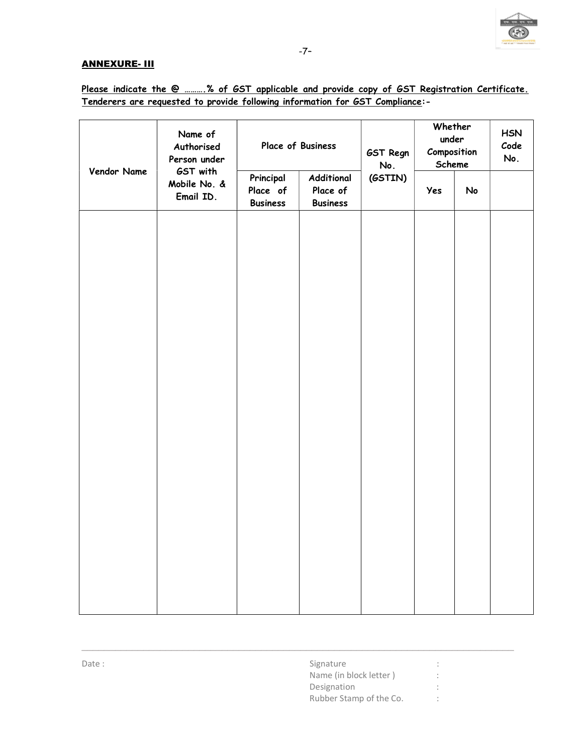

# **ANNEXURE- III**

|             | Name of<br>Authorised<br>Person under |                                          | Place of Business                         | GST Regn<br>No. | Whether<br>under<br>Composition<br>Scheme |    | <b>HSN</b><br>Code<br>No. |
|-------------|---------------------------------------|------------------------------------------|-------------------------------------------|-----------------|-------------------------------------------|----|---------------------------|
| Vendor Name | GST with<br>Mobile No. &<br>Email ID. | Principal<br>Place of<br><b>Business</b> | Additional<br>Place of<br><b>Business</b> | (GSTIN)         | Yes                                       | No |                           |
|             |                                       |                                          |                                           |                 |                                           |    |                           |
|             |                                       |                                          |                                           |                 |                                           |    |                           |
|             |                                       |                                          |                                           |                 |                                           |    |                           |
|             |                                       |                                          |                                           |                 |                                           |    |                           |
|             |                                       |                                          |                                           |                 |                                           |    |                           |
|             |                                       |                                          |                                           |                 |                                           |    |                           |
|             |                                       |                                          |                                           |                 |                                           |    |                           |
|             |                                       |                                          |                                           |                 |                                           |    |                           |
|             |                                       |                                          |                                           |                 |                                           |    |                           |

\_\_\_\_\_\_\_\_\_\_\_\_\_\_\_\_\_\_\_\_\_\_\_\_\_\_\_\_\_\_\_\_\_\_\_\_\_\_\_\_\_\_\_\_\_\_\_\_\_\_\_\_\_\_\_\_\_\_\_\_\_\_\_\_\_\_\_\_\_\_\_\_\_\_\_\_\_

# Please indicate the @ ..........% of GST applicable and provide copy of GST Registration Certificate. Tenderers are requested to provide following information for GST Compliance:-

| Date: | Signature               |  |
|-------|-------------------------|--|
|       | Name (in block letter)  |  |
|       | Designation             |  |
|       | Rubber Stamp of the Co. |  |
|       |                         |  |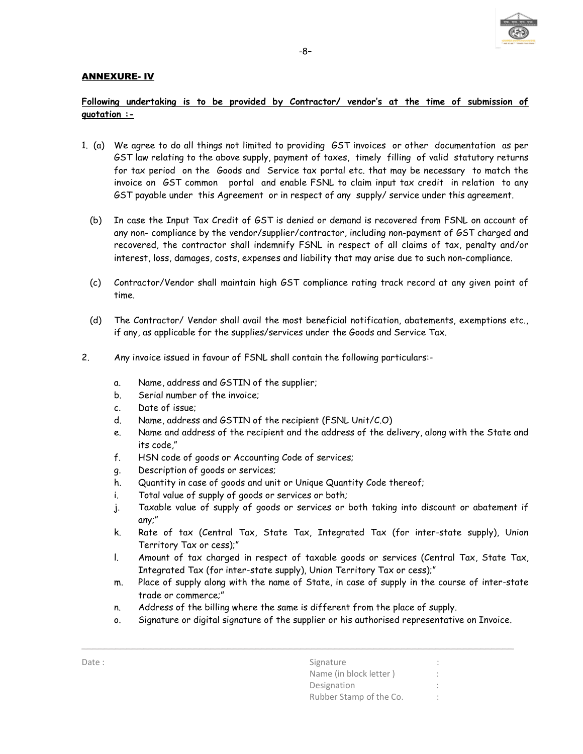

### ANNEXURE- IV

# Following undertaking is to be provided by Contractor/ vendor's at the time of submission of quotation :-

- 1. (a) We agree to do all things not limited to providing GST invoices or other documentation as per GST law relating to the above supply, payment of taxes, timely filling of valid statutory returns for tax period on the Goods and Service tax portal etc. that may be necessary to match the invoice on GST common portal and enable FSNL to claim input tax credit in relation to any GST payable under this Agreement or in respect of any supply/ service under this agreement.
	- (b) In case the Input Tax Credit of GST is denied or demand is recovered from FSNL on account of any non- compliance by the vendor/supplier/contractor, including non-payment of GST charged and recovered, the contractor shall indemnify FSNL in respect of all claims of tax, penalty and/or interest, loss, damages, costs, expenses and liability that may arise due to such non-compliance.
	- (c) Contractor/Vendor shall maintain high GST compliance rating track record at any given point of time.
	- (d) The Contractor/ Vendor shall avail the most beneficial notification, abatements, exemptions etc., if any, as applicable for the supplies/services under the Goods and Service Tax.
- 2. Any invoice issued in favour of FSNL shall contain the following particulars:
	- a. Name, address and GSTIN of the supplier;
	- b. Serial number of the invoice;
	- c. Date of issue;
	- d. Name, address and GSTIN of the recipient (FSNL Unit/C.O)
	- e. Name and address of the recipient and the address of the delivery, along with the State and its code,"
	- f. HSN code of goods or Accounting Code of services;
	- g. Description of goods or services;
	- h. Quantity in case of goods and unit or Unique Quantity Code thereof;
	- i. Total value of supply of goods or services or both;
	- j. Taxable value of supply of goods or services or both taking into discount or abatement if any;"
	- k. Rate of tax (Central Tax, State Tax, Integrated Tax (for inter-state supply), Union Territory Tax or cess);"
	- l. Amount of tax charged in respect of taxable goods or services (Central Tax, State Tax, Integrated Tax (for inter-state supply), Union Territory Tax or cess);"
	- m. Place of supply along with the name of State, in case of supply in the course of inter-state trade or commerce;"
	- n. Address of the billing where the same is different from the place of supply.
	- o. Signature or digital signature of the supplier or his authorised representative on Invoice.

| Date: | Signature               |  |
|-------|-------------------------|--|
|       | Name (in block letter)  |  |
|       | Designation             |  |
|       | Rubber Stamp of the Co. |  |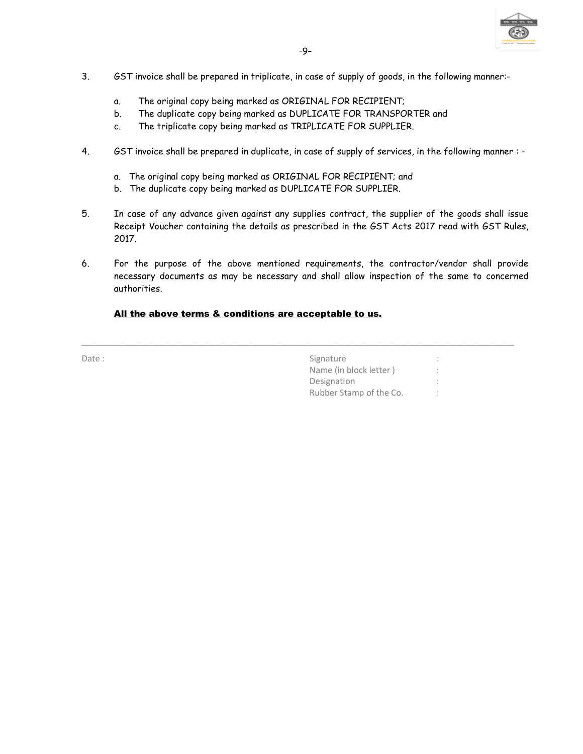

- 3. GST invoice shall be prepared in triplicate, in case of supply of goods, in the following manner:
	- a. The original copy being marked as ORIGINAL FOR RECIPIENT;
	- b. The duplicate copy being marked as DUPLICATE FOR TRANSPORTER and
	- c. The triplicate copy being marked as TRIPLICATE FOR SUPPLIER.
- 4. GST invoice shall be prepared in duplicate, in case of supply of services, in the following manner :
	- a. The original copy being marked as ORIGINAL FOR RECIPIENT; and
	- b. The duplicate copy being marked as DUPLICATE FOR SUPPLIER.
- 5. In case of any advance given against any supplies contract, the supplier of the goods shall issue Receipt Voucher containing the details as prescribed in the GST Acts 2017 read with GST Rules, 2017.
- 6. For the purpose of the above mentioned requirements, the contractor/vendor shall provide necessary documents as may be necessary and shall allow inspection of the same to concerned authorities.

\_\_\_\_\_\_\_\_\_\_\_\_\_\_\_\_\_\_\_\_\_\_\_\_\_\_\_\_\_\_\_\_\_\_\_\_\_\_\_\_\_\_\_\_\_\_\_\_\_\_\_\_\_\_\_\_\_\_\_\_\_\_\_\_\_\_\_\_\_\_\_\_\_\_\_\_\_

### All the above terms & conditions are acceptable to us.

| Date: | Signature               |  |
|-------|-------------------------|--|
|       | Name (in block letter)  |  |
|       | Designation             |  |
|       | Rubber Stamp of the Co. |  |
|       |                         |  |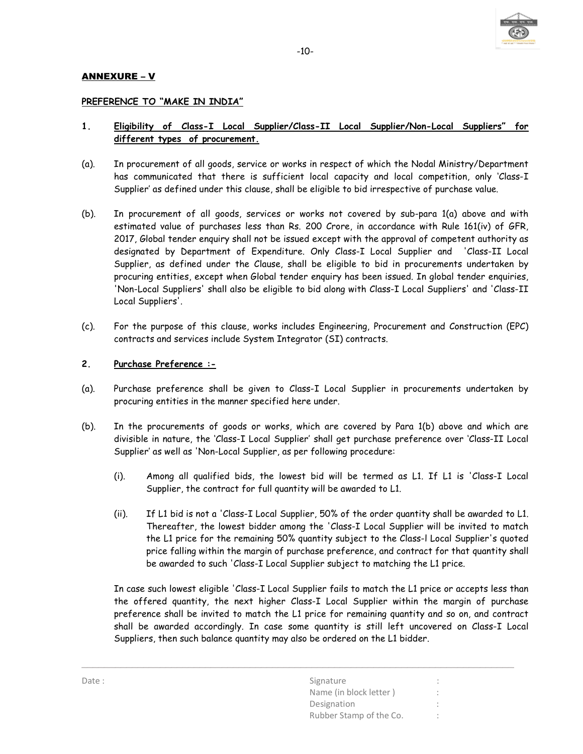

## ANNEXURE – V

#### PREFERENCE TO "MAKE IN INDIA"

# 1. Eligibility of Class-I Local Supplier/Class-II Local Supplier/Non-Local Suppliers" for different types of procurement.

- (a). In procurement of all goods, service or works in respect of which the Nodal Ministry/Department has communicated that there is sufficient local capacity and local competition, only 'Class-I Supplier' as defined under this clause, shall be eligible to bid irrespective of purchase value.
- (b). In procurement of all goods, services or works not covered by sub-para 1(a) above and with estimated value of purchases less than Rs. 200 Crore, in accordance with Rule 161(iv) of GFR, 2017, Global tender enquiry shall not be issued except with the approval of competent authority as designated by Department of Expenditure. Only Class-I Local Supplier and 'Class-II Local Supplier, as defined under the Clause, shall be eligible to bid in procurements undertaken by procuring entities, except when Global tender enquiry has been issued. In global tender enquiries, 'Non-Local Suppliers' shall also be eligible to bid along with Class-I Local Suppliers' and 'Class-II Local Suppliers'.
- (c). For the purpose of this clause, works includes Engineering, Procurement and Construction (EPC) contracts and services include System Integrator (SI) contracts.

#### 2. Purchase Preference :-

- (a). Purchase preference shall be given to Class-I Local Supplier in procurements undertaken by procuring entities in the manner specified here under.
- (b). In the procurements of goods or works, which are covered by Para 1(b) above and which are divisible in nature, the 'Class-I Local Supplier' shall get purchase preference over 'Class-II Local Supplier' as well as 'Non-Local Supplier, as per following procedure:
	- (i). Among all qualified bids, the lowest bid will be termed as L1. If L1 is 'Class-I Local Supplier, the contract for full quantity will be awarded to L1.
	- (ii). If L1 bid is not a 'Class-I Local Supplier, 50% of the order quantity shall be awarded to L1. Thereafter, the lowest bidder among the 'Class-I Local Supplier will be invited to match the L1 price for the remaining 50% quantity subject to the Class-l Local Supplier's quoted price falling within the margin of purchase preference, and contract for that quantity shall be awarded to such 'Class-I Local Supplier subject to matching the L1 price.

In case such lowest eligible 'Class-I Local Supplier fails to match the L1 price or accepts less than the offered quantity, the next higher Class-I Local Supplier within the margin of purchase preference shall be invited to match the L1 price for remaining quantity and so on, and contract shall be awarded accordingly. In case some quantity is still left uncovered on Class-I Local Suppliers, then such balance quantity may also be ordered on the L1 bidder.

| Date: | Signature               | $\bullet$<br>$\sim$ |
|-------|-------------------------|---------------------|
|       | Name (in block letter)  |                     |
|       | Designation             |                     |
|       | Rubber Stamp of the Co. |                     |
|       |                         |                     |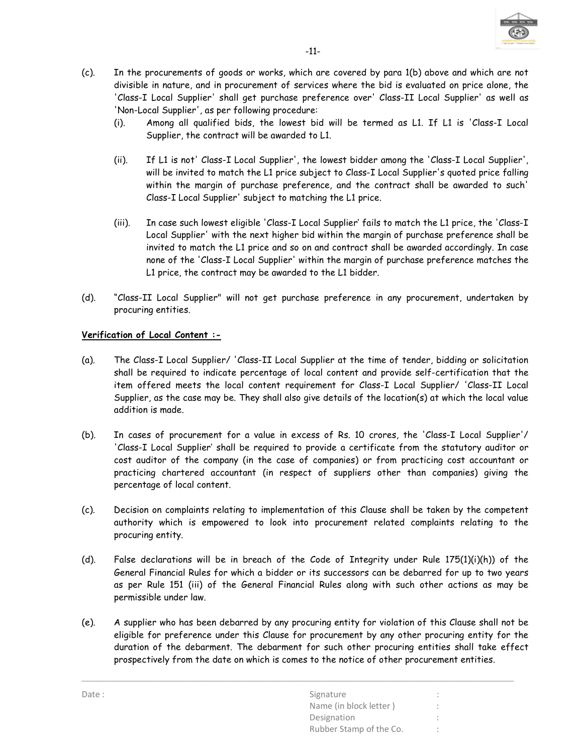

- (c). In the procurements of goods or works, which are covered by para 1(b) above and which are not divisible in nature, and in procurement of services where the bid is evaluated on price alone, the 'Class-I Local Supplier' shall get purchase preference over' Class-II Local Supplier' as well as 'Non-Local Supplier', as per following procedure:
	- (i). Among all qualified bids, the lowest bid will be termed as L1. If L1 is 'Class-I Local Supplier, the contract will be awarded to L1.
	- (ii). If L1 is not' Class-I Local Supplier', the lowest bidder among the 'Class-I Local Supplier', will be invited to match the L1 price subject to Class-I Local Supplier's quoted price falling within the margin of purchase preference, and the contract shall be awarded to such' Class-I Local Supplier' subject to matching the L1 price.
	- (iii). In case such lowest eligible 'Class-I Local Supplier' fails to match the L1 price, the 'Class-I Local Supplier' with the next higher bid within the margin of purchase preference shall be invited to match the L1 price and so on and contract shall be awarded accordingly. In case none of the 'Class-I Local Supplier' within the margin of purchase preference matches the L1 price, the contract may be awarded to the L1 bidder.
- (d). "Class-II Local Supplier" will not get purchase preference in any procurement, undertaken by procuring entities.

# Verification of Local Content :-

- (a). The Class-I Local Supplier/ 'Class-II Local Supplier at the time of tender, bidding or solicitation shall be required to indicate percentage of local content and provide self-certification that the item offered meets the local content requirement for Class-I Local Supplier/ 'Class-II Local Supplier, as the case may be. They shall also give details of the location(s) at which the local value addition is made.
- (b). In cases of procurement for a value in excess of Rs. 10 crores, the 'Class-I Local Supplier'/ 'Class-I Local Supplier' shall be required to provide a certificate from the statutory auditor or cost auditor of the company (in the case of companies) or from practicing cost accountant or practicing chartered accountant (in respect of suppliers other than companies) giving the percentage of local content.
- (c). Decision on complaints relating to implementation of this Clause shall be taken by the competent authority which is empowered to look into procurement related complaints relating to the procuring entity.
- (d). False declarations will be in breach of the Code of Integrity under Rule 175(1)(i)(h)) of the General Financial Rules for which a bidder or its successors can be debarred for up to two years as per Rule 151 (iii) of the General Financial Rules along with such other actions as may be permissible under law.
- (e). A supplier who has been debarred by any procuring entity for violation of this Clause shall not be eligible for preference under this Clause for procurement by any other procuring entity for the duration of the debarment. The debarment for such other procuring entities shall take effect prospectively from the date on which is comes to the notice of other procurement entities.

| Date: | Signature               |           |
|-------|-------------------------|-----------|
|       | Name (in block letter)  |           |
|       | Designation             |           |
|       | Rubber Stamp of the Co. | $\bullet$ |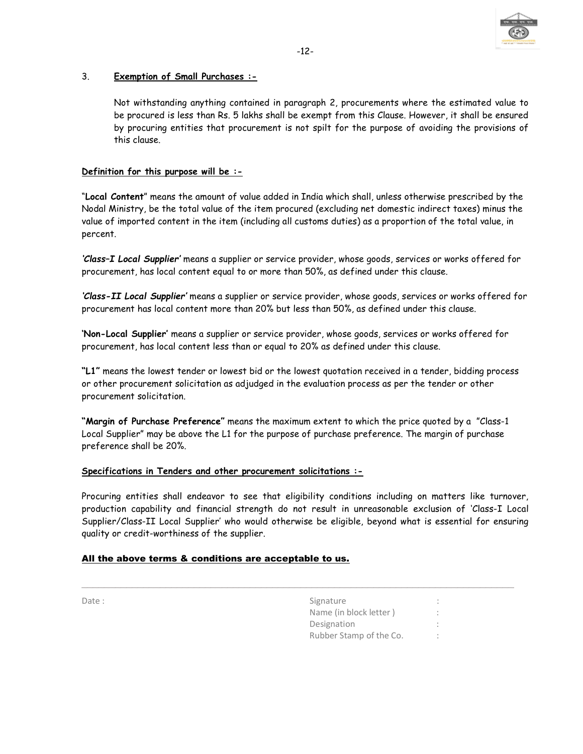

# 3. Exemption of Small Purchases :-

Not withstanding anything contained in paragraph 2, procurements where the estimated value to be procured is less than Rs. 5 lakhs shall be exempt from this Clause. However, it shall be ensured by procuring entities that procurement is not spilt for the purpose of avoiding the provisions of this clause.

# Definition for this purpose will be :-

"Local Content" means the amount of value added in India which shall, unless otherwise prescribed by the Nodal Ministry, be the total value of the item procured (excluding net domestic indirect taxes) minus the value of imported content in the item (including all customs duties) as a proportion of the total value, in percent.

'Class–I Local Supplier' means a supplier or service provider, whose goods, services or works offered for procurement, has local content equal to or more than 50%, as defined under this clause.

'Class-II Local Supplier' means a supplier or service provider, whose goods, services or works offered for procurement has local content more than 20% but less than 50%, as defined under this clause.

'Non-Local Supplier' means a supplier or service provider, whose goods, services or works offered for procurement, has local content less than or equal to 20% as defined under this clause.

"L1" means the lowest tender or lowest bid or the lowest quotation received in a tender, bidding process or other procurement solicitation as adjudged in the evaluation process as per the tender or other procurement solicitation.

"Margin of Purchase Preference" means the maximum extent to which the price quoted by a "Class-1 Local Supplier" may be above the L1 for the purpose of purchase preference. The margin of purchase preference shall be 20%.

#### Specifications in Tenders and other procurement solicitations :-

Procuring entities shall endeavor to see that eligibility conditions including on matters like turnover, production capability and financial strength do not result in unreasonable exclusion of 'Class-I Local Supplier/Class-II Local Supplier' who would otherwise be eligible, beyond what is essential for ensuring quality or credit-worthiness of the supplier.

\_\_\_\_\_\_\_\_\_\_\_\_\_\_\_\_\_\_\_\_\_\_\_\_\_\_\_\_\_\_\_\_\_\_\_\_\_\_\_\_\_\_\_\_\_\_\_\_\_\_\_\_\_\_\_\_\_\_\_\_\_\_\_\_\_\_\_\_\_\_\_\_\_\_\_\_\_

#### All the above terms & conditions are acceptable to us.

| Date: | Signature               | ٠  |
|-------|-------------------------|----|
|       | Name (in block letter)  |    |
|       | Designation             | ۰. |
|       | Rubber Stamp of the Co. |    |
|       |                         |    |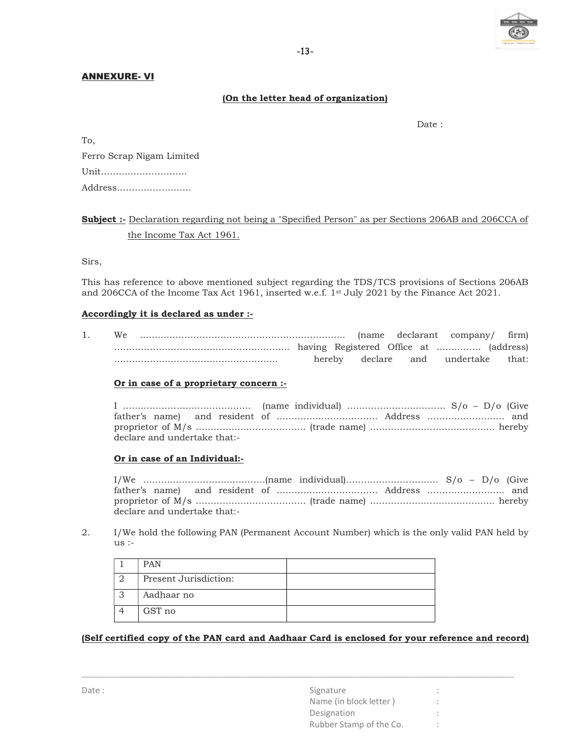

#### ANNEXURE- VI

#### (On the letter head of organization)

To,

definition of the contract of the contract of the contract of the contract of the contract of the contract of the contract of the contract of the contract of the contract of the contract of the contract of the contract of

| Ferro Scrap Nigam Limited |
|---------------------------|
| Unit                      |
| Address                   |

# Subject :- Declaration regarding not being a "Specified Person" as per Sections 206AB and 206CCA of the Income Tax Act 1961.

Sirs,

This has reference to above mentioned subject regarding the TDS/TCS provisions of Sections 206AB and 206CCA of the Income Tax Act 1961, inserted w.e.f. 1st July 2021 by the Finance Act 2021.

#### Accordingly it is declared as under :-

1. We …………………………………………………………... (name declarant company/ firm) ………………………………………………….. having Registered Office at …………… (address) ………………………………………………. hereby declare and undertake that:

#### Or in case of a proprietary concern :-

I ……………………………………. (name individual) …………………………… S/o – D/o (Give father's name) and resident of ……………………………. Address …………………….. and proprietor of M/s ………………………………. (trade name) …………………………………... hereby declare and undertake that:-

#### Or in case of an Individual:-

I/We ………….……………………….(name individual)…………………………. S/o – D/o (Give father's name) and resident of ……………………………. Address …………………….. and proprietor of M/s ………………………………. (trade name) …………………………………... hereby declare and undertake that:-

2. I/We hold the following PAN (Permanent Account Number) which is the only valid PAN held by us :-

| <b>PAN</b>            |  |
|-----------------------|--|
| Present Jurisdiction: |  |
| Aadhaar no            |  |
| GST no                |  |

#### (Self certified copy of the PAN card and Aadhaar Card is enclosed for your reference and record)

| Date: | Signature               |  |
|-------|-------------------------|--|
|       | Name (in block letter)  |  |
|       | Designation             |  |
|       | Rubber Stamp of the Co. |  |